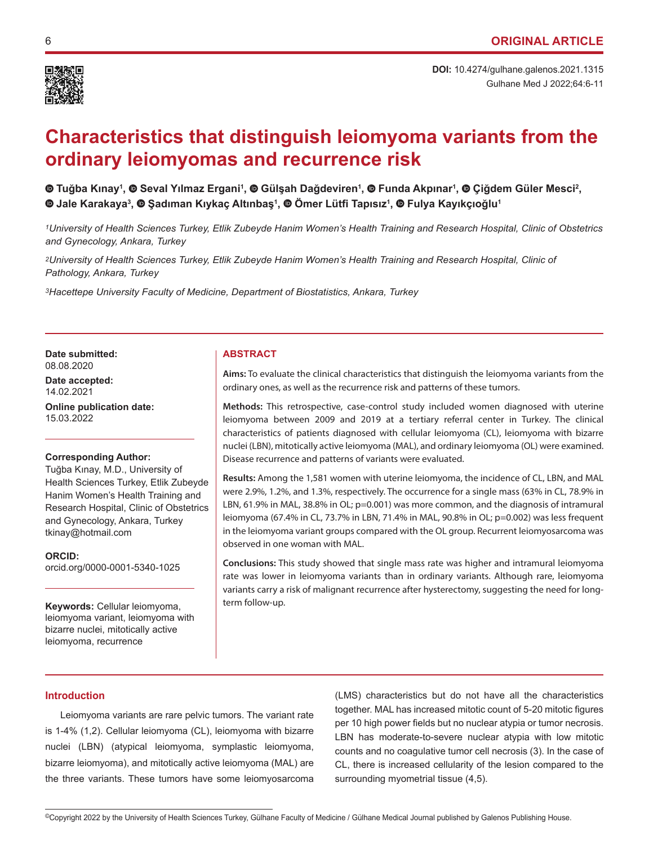

Gulhane Med J 2022;64:6-11 **DOI:** 10.4274/gulhane.galenos.2021.1315

# **Characteristics that distinguish leiomyoma variants from the ordinary leiomyomas and recurrence risk**

**Tuğba Kınay<sup>1</sup> ,Seval Yılmaz Ergani<sup>1</sup> ,Gülşah Dağdeviren<sup>1</sup> , Funda Akpınar<sup>1</sup> , Çiğdem Güler Mesci<sup>2</sup> , Jale Karakaya3 , Şadıman Kıykaç Altınbaş<sup>1</sup> , Ömer Lütfi Tapısız<sup>1</sup> ,Fulya Kayıkçıoğlu<sup>1</sup>**

*1University of Health Sciences Turkey, Etlik Zubeyde Hanim Women's Health Training and Research Hospital, Clinic of Obstetrics and Gynecology, Ankara, Turkey*

*2University of Health Sciences Turkey, Etlik Zubeyde Hanim Women's Health Training and Research Hospital, Clinic of Pathology, Ankara, Turkey*

*3Hacettepe University Faculty of Medicine, Department of Biostatistics, Ankara, Turkey*

Date submitted: **ABSTRACT** 08.08.2020

**Date accepted:** 14.02.2021

**Online publication date:** 15.03.2022

# **Corresponding Author:**

Tuğba Kınay, M.D., University of Health Sciences Turkey, Etlik Zubeyde Hanim Women's Health Training and Research Hospital, Clinic of Obstetrics and Gynecology, Ankara, Turkey tkinay@hotmail.com

**ORCID:**  orcid.org/0000-0001-5340-1025

**Keywords:** Cellular leiomyoma, leiomyoma variant, leiomyoma with bizarre nuclei, mitotically active leiomyoma, recurrence

**Aims:** To evaluate the clinical characteristics that distinguish the leiomyoma variants from the ordinary ones, as well as the recurrence risk and patterns of these tumors.

**Methods:** This retrospective, case-control study included women diagnosed with uterine leiomyoma between 2009 and 2019 at a tertiary referral center in Turkey. The clinical characteristics of patients diagnosed with cellular leiomyoma (CL), leiomyoma with bizarre nuclei (LBN), mitotically active leiomyoma (MAL), and ordinary leiomyoma (OL) were examined. Disease recurrence and patterns of variants were evaluated.

**Results:** Among the 1,581 women with uterine leiomyoma, the incidence of CL, LBN, and MAL were 2.9%, 1.2%, and 1.3%, respectively. The occurrence for a single mass (63% in CL, 78.9% in LBN, 61.9% in MAL, 38.8% in OL; p=0.001) was more common, and the diagnosis of intramural leiomyoma (67.4% in CL, 73.7% in LBN, 71.4% in MAL, 90.8% in OL; p=0.002) was less frequent in the leiomyoma variant groups compared with the OL group. Recurrent leiomyosarcoma was observed in one woman with MAL.

**Conclusions:** This study showed that single mass rate was higher and intramural leiomyoma rate was lower in leiomyoma variants than in ordinary variants. Although rare, leiomyoma variants carry a risk of malignant recurrence after hysterectomy, suggesting the need for longterm follow-up.

# **Introduction**

Leiomyoma variants are rare pelvic tumors. The variant rate is 1-4% (1,2). Cellular leiomyoma (CL), leiomyoma with bizarre nuclei (LBN) (atypical leiomyoma, symplastic leiomyoma, bizarre leiomyoma), and mitotically active leiomyoma (MAL) are the three variants. These tumors have some leiomyosarcoma

(LMS) characteristics but do not have all the characteristics together. MAL has increased mitotic count of 5-20 mitotic figures per 10 high power fields but no nuclear atypia or tumor necrosis. LBN has moderate-to-severe nuclear atypia with low mitotic counts and no coagulative tumor cell necrosis (3). In the case of CL, there is increased cellularity of the lesion compared to the surrounding myometrial tissue (4,5).

<sup>©</sup>Copyright 2022 by the University of Health Sciences Turkey, Gülhane Faculty of Medicine / Gülhane Medical Journal published by Galenos Publishing House.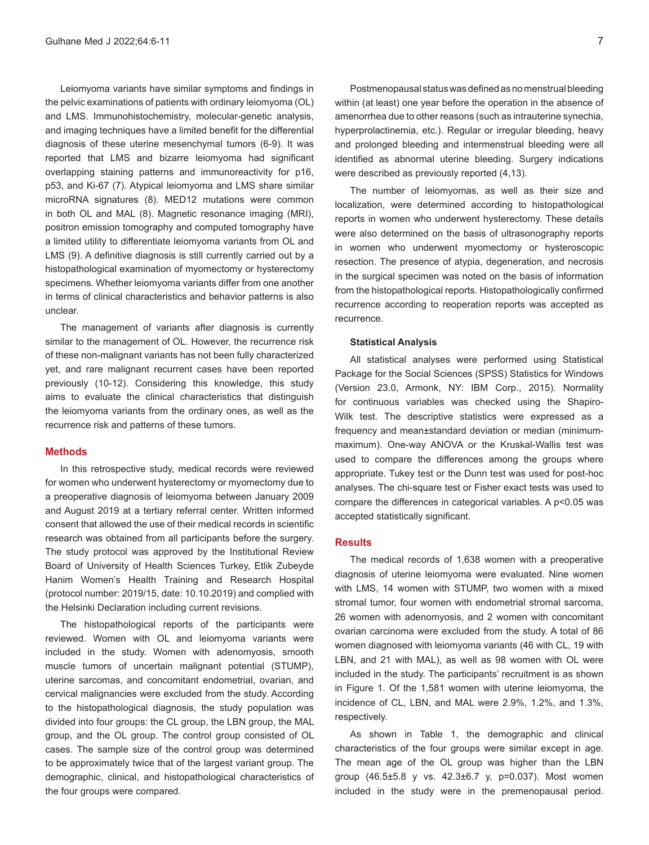Leiomyoma variants have similar symptoms and findings in the pelvic examinations of patients with ordinary leiomyoma (OL) and LMS. Immunohistochemistry, molecular-genetic analysis, and imaging techniques have a limited benefit for the differential diagnosis of these uterine mesenchymal tumors (6-9). It was reported that LMS and bizarre leiomyoma had significant overlapping staining patterns and immunoreactivity for p16, p53, and Ki-67 (7). Atypical leiomyoma and LMS share similar microRNA signatures (8). MED12 mutations were common in both OL and MAL (8). Magnetic resonance imaging (MRI), positron emission tomography and computed tomography have a limited utility to differentiate leiomyoma variants from OL and LMS (9). A definitive diagnosis is still currently carried out by a histopathological examination of myomectomy or hysterectomy specimens. Whether leiomyoma variants differ from one another in terms of clinical characteristics and behavior patterns is also unclear.

The management of variants after diagnosis is currently similar to the management of OL. However, the recurrence risk of these non-malignant variants has not been fully characterized yet, and rare malignant recurrent cases have been reported previously (10-12). Considering this knowledge, this study aims to evaluate the clinical characteristics that distinguish the leiomyoma variants from the ordinary ones, as well as the recurrence risk and patterns of these tumors.

#### **Methods**

In this retrospective study, medical records were reviewed for women who underwent hysterectomy or myomectomy due to a preoperative diagnosis of leiomyoma between January 2009 and August 2019 at a tertiary referral center. Written informed consent that allowed the use of their medical records in scientific research was obtained from all participants before the surgery. The study protocol was approved by the Institutional Review Board of University of Health Sciences Turkey, Etlik Zubeyde Hanim Women's Health Training and Research Hospital (protocol number: 2019/15, date: 10.10.2019) and complied with the Helsinki Declaration including current revisions.

The histopathological reports of the participants were reviewed. Women with OL and leiomyoma variants were included in the study. Women with adenomyosis, smooth muscle tumors of uncertain malignant potential (STUMP), uterine sarcomas, and concomitant endometrial, ovarian, and cervical malignancies were excluded from the study. According to the histopathological diagnosis, the study population was divided into four groups: the CL group, the LBN group, the MAL group, and the OL group. The control group consisted of OL cases. The sample size of the control group was determined to be approximately twice that of the largest variant group. The demographic, clinical, and histopathological characteristics of the four groups were compared.

Postmenopausal status was defined as no menstrual bleeding within (at least) one year before the operation in the absence of amenorrhea due to other reasons (such as intrauterine synechia, hyperprolactinemia, etc.). Regular or irregular bleeding, heavy and prolonged bleeding and intermenstrual bleeding were all identified as abnormal uterine bleeding. Surgery indications were described as previously reported (4,13).

The number of leiomyomas, as well as their size and localization, were determined according to histopathological reports in women who underwent hysterectomy. These details were also determined on the basis of ultrasonography reports in women who underwent myomectomy or hysteroscopic resection. The presence of atypia, degeneration, and necrosis in the surgical specimen was noted on the basis of information from the histopathological reports. Histopathologically confirmed recurrence according to reoperation reports was accepted as recurrence.

#### **Statistical Analysis**

All statistical analyses were performed using Statistical Package for the Social Sciences (SPSS) Statistics for Windows (Version 23.0, Armonk, NY: IBM Corp., 2015). Normality for continuous variables was checked using the Shapiro-Wilk test. The descriptive statistics were expressed as a frequency and mean±standard deviation or median (minimummaximum). One-way ANOVA or the Kruskal-Wallis test was used to compare the differences among the groups where appropriate. Tukey test or the Dunn test was used for post-hoc analyses. The chi-square test or Fisher exact tests was used to compare the differences in categorical variables. A p<0.05 was accepted statistically significant.

#### **Results**

The medical records of 1,638 women with a preoperative diagnosis of uterine leiomyoma were evaluated. Nine women with LMS, 14 women with STUMP, two women with a mixed stromal tumor, four women with endometrial stromal sarcoma, 26 women with adenomyosis, and 2 women with concomitant ovarian carcinoma were excluded from the study. A total of 86 women diagnosed with leiomyoma variants (46 with CL, 19 with LBN, and 21 with MAL), as well as 98 women with OL were included in the study. The participants' recruitment is as shown in Figure 1. Of the 1,581 women with uterine leiomyoma, the incidence of CL, LBN, and MAL were 2.9%, 1.2%, and 1.3%, respectively.

As shown in Table 1, the demographic and clinical characteristics of the four groups were similar except in age. The mean age of the OL group was higher than the LBN group (46.5±5.8 y vs. 42.3±6.7 y, p=0.037). Most women included in the study were in the premenopausal period.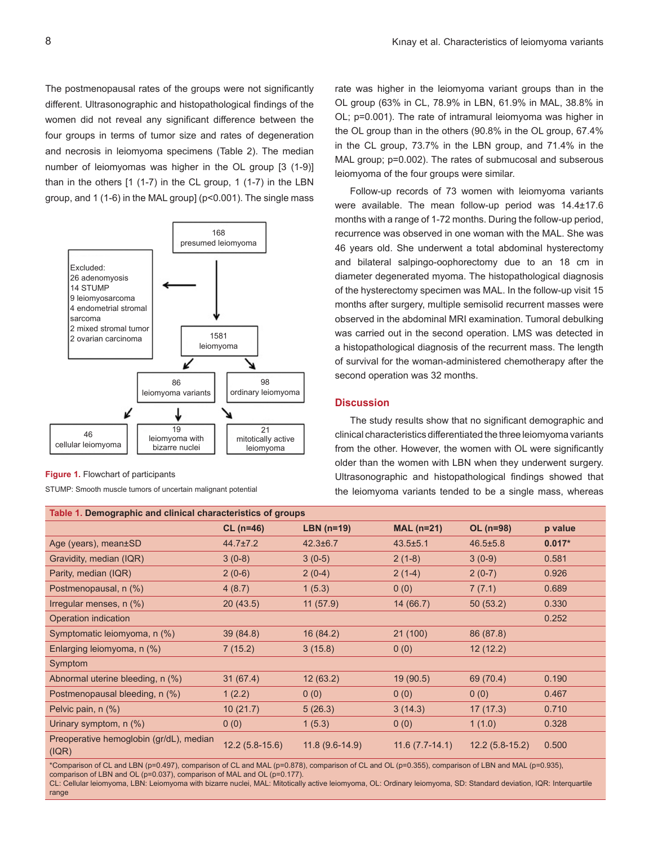The postmenopausal rates of the groups were not significantly different. Ultrasonographic and histopathological findings of the women did not reveal any significant difference between the four groups in terms of tumor size and rates of degeneration and necrosis in leiomyoma specimens (Table 2). The median number of leiomyomas was higher in the OL group [3 (1-9)] than in the others [1 (1-7) in the CL group, 1 (1-7) in the LBN group, and 1 (1-6) in the MAL group] (p<0.001). The single mass



**Figure 1.** Flowchart of participants

STUMP: Smooth muscle tumors of uncertain malignant potential

rate was higher in the leiomyoma variant groups than in the OL group (63% in CL, 78.9% in LBN, 61.9% in MAL, 38.8% in OL; p=0.001). The rate of intramural leiomyoma was higher in the OL group than in the others (90.8% in the OL group, 67.4% in the CL group, 73.7% in the LBN group, and 71.4% in the MAL group;  $p=0.002$ ). The rates of submucosal and subserous leiomyoma of the four groups were similar.

Follow-up records of 73 women with leiomyoma variants were available. The mean follow-up period was 14.4±17.6 months with a range of 1-72 months. During the follow-up period, recurrence was observed in one woman with the MAL. She was 46 years old. She underwent a total abdominal hysterectomy and bilateral salpingo-oophorectomy due to an 18 cm in diameter degenerated myoma. The histopathological diagnosis of the hysterectomy specimen was MAL. In the follow-up visit 15 months after surgery, multiple semisolid recurrent masses were observed in the abdominal MRI examination. Tumoral debulking was carried out in the second operation. LMS was detected in a histopathological diagnosis of the recurrent mass. The length of survival for the woman-administered chemotherapy after the second operation was 32 months.

## **Discussion**

The study results show that no significant demographic and clinical characteristics differentiated the three leiomyoma variants from the other. However, the women with OL were significantly older than the women with LBN when they underwent surgery. Ultrasonographic and histopathological findings showed that the leiomyoma variants tended to be a single mass, whereas

| Table 1. Demographic and clinical characteristics of groups |                  |                  |                  |                  |          |
|-------------------------------------------------------------|------------------|------------------|------------------|------------------|----------|
|                                                             | $CL (n=46)$      | LBN $(n=19)$     | $MAL(n=21)$      | $OL (n=98)$      | p value  |
| Age (years), mean±SD                                        | $44.7 \pm 7.2$   | $42.3 \pm 6.7$   | $43.5 + 5.1$     | $46.5 \pm 5.8$   | $0.017*$ |
| Gravidity, median (IQR)                                     | $3(0-8)$         | $3(0-5)$         | $2(1-8)$         | $3(0-9)$         | 0.581    |
| Parity, median (IQR)                                        | $2(0-6)$         | $2(0-4)$         | $2(1-4)$         | $2(0-7)$         | 0.926    |
| Postmenopausal, n (%)                                       | 4(8.7)           | 1(5.3)           | 0(0)             | 7(7.1)           | 0.689    |
| Irregular menses, $n$ $(\%)$                                | 20(43.5)         | 11(57.9)         | 14(66.7)         | 50(53.2)         | 0.330    |
| Operation indication                                        |                  |                  |                  |                  | 0.252    |
| Symptomatic leiomyoma, n (%)                                | 39 (84.8)        | 16 (84.2)        | 21 (100)         | 86 (87.8)        |          |
| Enlarging leiomyoma, n (%)                                  | 7(15.2)          | 3(15.8)          | 0(0)             | 12(12.2)         |          |
| Symptom                                                     |                  |                  |                  |                  |          |
| Abnormal uterine bleeding, n (%)                            | 31(67.4)         | 12(63.2)         | 19(90.5)         | 69 (70.4)        | 0.190    |
| Postmenopausal bleeding, n (%)                              | 1(2.2)           | 0(0)             | 0(0)             | 0(0)             | 0.467    |
| Pelvic pain, n (%)                                          | 10(21.7)         | 5(26.3)          | 3(14.3)          | 17(17.3)         | 0.710    |
| Urinary symptom, $n$ (%)                                    | 0(0)             | 1(5.3)           | 0(0)             | 1(1.0)           | 0.328    |
| Preoperative hemoglobin (gr/dL), median<br>(IQR)            | $12.2(5.8-15.6)$ | $11.8(9.6-14.9)$ | $11.6(7.7-14.1)$ | $12.2(5.8-15.2)$ | 0.500    |

\*Comparison of CL and LBN (p=0.497), comparison of CL and MAL (p=0.878), comparison of CL and OL (p=0.355), comparison of LBN and MAL (p=0.935), comparison of LBN and OL (p=0.037), comparison of MAL and OL (p=0.177).

CL: Cellular leiomyoma, LBN: Leiomyoma with bizarre nuclei, MAL: Mitotically active leiomyoma, OL: Ordinary leiomyoma, SD: Standard deviation, IQR: Interquartile range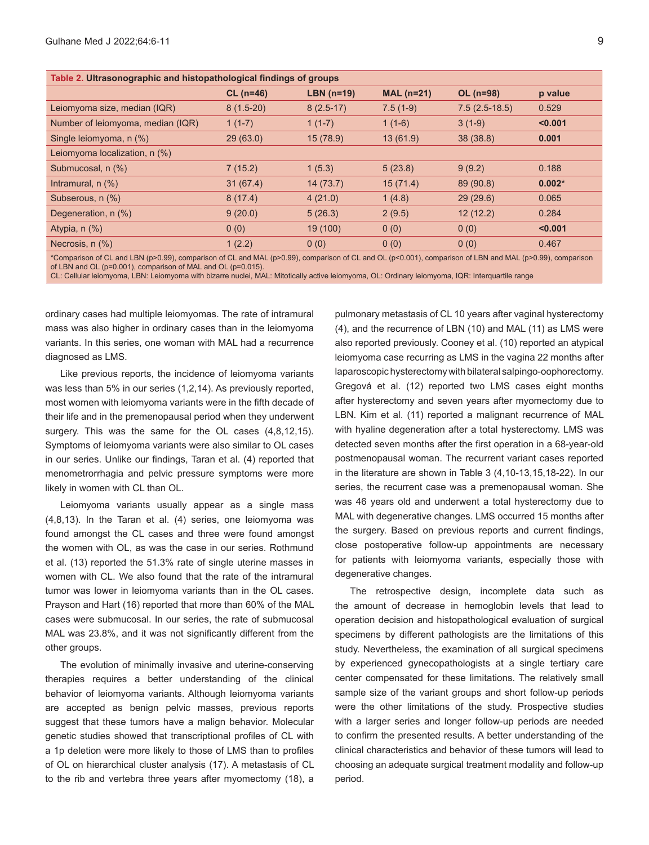| Table 2. Ultrasonographic and histopathological findings of groups |             |              |             |                 |          |
|--------------------------------------------------------------------|-------------|--------------|-------------|-----------------|----------|
|                                                                    | $CL (n=46)$ | LBN $(n=19)$ | $MAL(n=21)$ | OL (n=98)       | p value  |
| Leiomyoma size, median (IQR)                                       | $8(1.5-20)$ | $8(2.5-17)$  | $7.5(1-9)$  | $7.5(2.5-18.5)$ | 0.529    |
| Number of leiomyoma, median (IQR)                                  | $1(1-7)$    | $1(1-7)$     | $1(1-6)$    | $3(1-9)$        | < 0.001  |
| Single leiomyoma, n (%)                                            | 29(63.0)    | 15(78.9)     | 13(61.9)    | 38(38.8)        | 0.001    |
| Leiomyoma localization, n (%)                                      |             |              |             |                 |          |
| Submucosal, n (%)                                                  | 7(15.2)     | 1(5.3)       | 5(23.8)     | 9(9.2)          | 0.188    |
| Intramural, $n$ $(\%)$                                             | 31(67.4)    | 14(73.7)     | 15(71.4)    | 89 (90.8)       | $0.002*$ |
| Subserous, n (%)                                                   | 8(17.4)     | 4(21.0)      | 1(4.8)      | 29(29.6)        | 0.065    |
| Degeneration, n (%)                                                | 9(20.0)     | 5(26.3)      | 2(9.5)      | 12(12.2)        | 0.284    |
| Atypia, $n$ $(\%)$                                                 | 0(0)        | 19 (100)     | 0(0)        | 0(0)            | < 0.001  |
| Necrosis, $n$ $(\%)$                                               | 1(2.2)      | 0(0)         | 0(0)        | 0(0)            | 0.467    |
|                                                                    |             |              |             |                 |          |

\*Comparison of CL and LBN (p>0.99), comparison of CL and MAL (p>0.99), comparison of CL and OL (p<0.001), comparison of LBN and MAL (p>0.99), comparison of LBN and OL (p=0.001), comparison of MAL and OL (p=0.015).

CL: Cellular leiomyoma, LBN: Leiomyoma with bizarre nuclei, MAL: Mitotically active leiomyoma, OL: Ordinary leiomyoma, IQR: Interquartile range

ordinary cases had multiple leiomyomas. The rate of intramural mass was also higher in ordinary cases than in the leiomyoma variants. In this series, one woman with MAL had a recurrence diagnosed as LMS.

Like previous reports, the incidence of leiomyoma variants was less than 5% in our series (1,2,14). As previously reported, most women with leiomyoma variants were in the fifth decade of their life and in the premenopausal period when they underwent surgery. This was the same for the OL cases (4,8,12,15). Symptoms of leiomyoma variants were also similar to OL cases in our series. Unlike our findings, Taran et al. (4) reported that menometrorrhagia and pelvic pressure symptoms were more likely in women with CL than OL.

Leiomyoma variants usually appear as a single mass (4,8,13). In the Taran et al. (4) series, one leiomyoma was found amongst the CL cases and three were found amongst the women with OL, as was the case in our series. Rothmund et al. (13) reported the 51.3% rate of single uterine masses in women with CL. We also found that the rate of the intramural tumor was lower in leiomyoma variants than in the OL cases. Prayson and Hart (16) reported that more than 60% of the MAL cases were submucosal. In our series, the rate of submucosal MAL was 23.8%, and it was not significantly different from the other groups.

The evolution of minimally invasive and uterine-conserving therapies requires a better understanding of the clinical behavior of leiomyoma variants. Although leiomyoma variants are accepted as benign pelvic masses, previous reports suggest that these tumors have a malign behavior. Molecular genetic studies showed that transcriptional profiles of CL with a 1p deletion were more likely to those of LMS than to profiles of OL on hierarchical cluster analysis (17). A metastasis of CL to the rib and vertebra three years after myomectomy (18), a

pulmonary metastasis of CL 10 years after vaginal hysterectomy (4), and the recurrence of LBN (10) and MAL (11) as LMS were also reported previously. Cooney et al. (10) reported an atypical leiomyoma case recurring as LMS in the vagina 22 months after laparoscopic hysterectomy with bilateral salpingo-oophorectomy. Gregová et al. (12) reported two LMS cases eight months after hysterectomy and seven years after myomectomy due to LBN. Kim et al. (11) reported a malignant recurrence of MAL with hyaline degeneration after a total hysterectomy. LMS was detected seven months after the first operation in a 68-year-old postmenopausal woman. The recurrent variant cases reported in the literature are shown in Table 3 (4,10-13,15,18-22). In our series, the recurrent case was a premenopausal woman. She was 46 years old and underwent a total hysterectomy due to MAL with degenerative changes. LMS occurred 15 months after the surgery. Based on previous reports and current findings, close postoperative follow-up appointments are necessary for patients with leiomyoma variants, especially those with degenerative changes.

The retrospective design, incomplete data such as the amount of decrease in hemoglobin levels that lead to operation decision and histopathological evaluation of surgical specimens by different pathologists are the limitations of this study. Nevertheless, the examination of all surgical specimens by experienced gynecopathologists at a single tertiary care center compensated for these limitations. The relatively small sample size of the variant groups and short follow-up periods were the other limitations of the study. Prospective studies with a larger series and longer follow-up periods are needed to confirm the presented results. A better understanding of the clinical characteristics and behavior of these tumors will lead to choosing an adequate surgical treatment modality and follow-up period.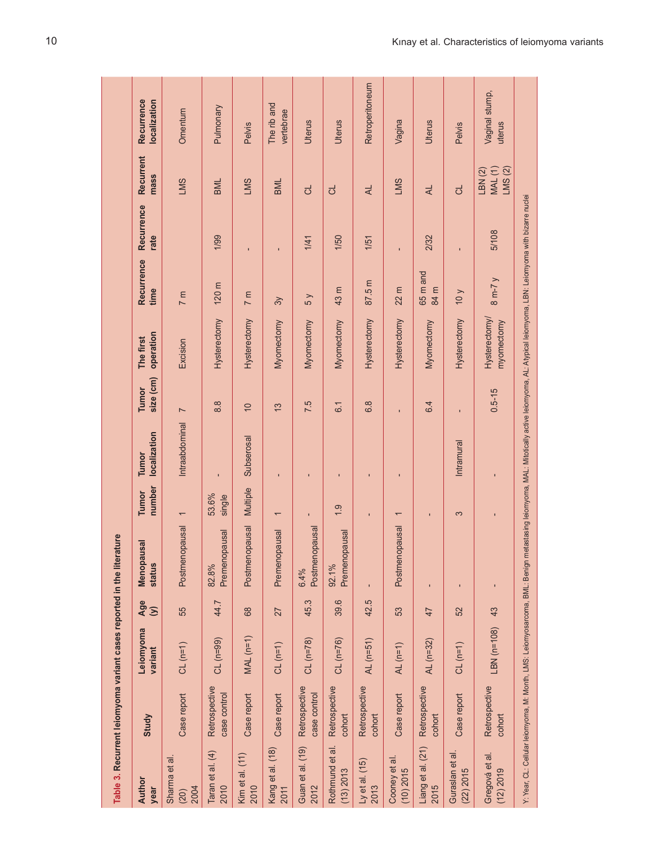|                                | Table 3. Recurrent leiomyoma variant cases reported in the literature |                      |                |                                                                                                                                                                                                  |                          |                              |                        |                             |                             |                    |                                     |                            |
|--------------------------------|-----------------------------------------------------------------------|----------------------|----------------|--------------------------------------------------------------------------------------------------------------------------------------------------------------------------------------------------|--------------------------|------------------------------|------------------------|-----------------------------|-----------------------------|--------------------|-------------------------------------|----------------------------|
| Author<br>year                 | Study                                                                 | Leiomyoma<br>variant | Age<br>$\odot$ | usal<br>Menopal<br>status                                                                                                                                                                        | number<br><b>Tumor</b>   | localization<br><b>Tumor</b> | size (cm)<br>Tumor     | operation<br>The first      | Recurrence<br>time          | Recurrence<br>rate | Recurrent<br>mass                   | Recurrence<br>localization |
| Sharma et al.<br>2004<br>(20)  | Case report                                                           | $CL(n=1)$            | 55             | Postmenopausal                                                                                                                                                                                   | $\overline{\phantom{0}}$ | Intraabdominal               | $\overline{ }$         | Excision                    | 7 <sub>m</sub>              |                    | <b>SWT</b>                          | Omentum                    |
| Taran et al. (4)<br>2010       | Retrospective<br>case control                                         | $CL(n=99)$           | 44.7           | Premenopausal<br>82.8%                                                                                                                                                                           | 53.6%<br>single          |                              | $\frac{8}{8}$          | Hysterectomy                | 120 <sub>m</sub>            | 1/99               | <b>BML</b>                          | Pulmonary                  |
| Kim et al. (11)<br>2010        | Case report                                                           | $MAL(n=1)$           | 89             | <b>opausal</b><br>Postmen                                                                                                                                                                        | Multiple                 | Subserosal                   | $\overline{0}$         | Hysterectomy                | 7 <sub>m</sub>              |                    | <b>SWT</b>                          | Pelvis                     |
| Kang et al. (18)<br>2011       | Case report                                                           | $CL(n=1)$            | 27             | Premenopausal                                                                                                                                                                                    | ſ                        | $\blacksquare$               | $\tilde{\mathfrak{c}}$ | Myomectomy                  | $\approx$                   | $\blacksquare$     | BML                                 | The rib and<br>vertebrae   |
| Guan et al. (19)<br>2012       | Retrospective<br>case control                                         | $CL (n = 78)$        | 45.3           | Postmenopausal<br>6.4%                                                                                                                                                                           |                          | $\blacksquare$               | 7.5                    | Myomectomy                  | 5y                          | 1/41               | ರ                                   | Uterus                     |
| Rothmund et al.<br>$(13)$ 2013 | Retrospective<br>cohort                                               | $CL (n = 76)$        | 39.6           | Premenopausal<br>92.1%                                                                                                                                                                           | $\frac{0}{1}$            |                              | $\overline{6}$         | Myomectomy                  | 43 m                        | 1/50               | ಕ                                   | <b>Uterus</b>              |
| Ly et al. $(15)$<br>2013       | Retrospective<br>cohort                                               | $AL(m=51)$           | 42.5           |                                                                                                                                                                                                  |                          |                              | 6.8                    | Hysterectomy                | 87.5 m                      | 1/51               | ₹                                   | Retroperitoneum            |
| Cooney et al.<br>$(10)$ 2015   | Case report                                                           | AL $(n=1)$           | 53             | Postmenopausal                                                                                                                                                                                   | $\overline{ }$           | $\blacksquare$               |                        | Hysterectomy                | 22 m                        |                    | <b>SWT</b>                          | Vagina                     |
| Liang et al. (21)<br>2015      | Retrospective<br>cohort                                               | AL (n=32)            | 47             |                                                                                                                                                                                                  | $\mathbf{I}$             |                              | 6.4                    | Myomectomy                  | 65 <sub>m</sub> and<br>84 m | 2/32               | ₹                                   | Uterus                     |
| Guraslan et al.<br>(22) 2015   | Case report                                                           | $CL$ (n=1)           | 52             | $\blacksquare$                                                                                                                                                                                   | 3                        | Intramural                   |                        | Hysterectomy                | $\sqrt{0}$                  |                    | ಕ                                   | Pelvis                     |
| Gregová et al.<br>(12) 2019    | Retrospective<br>cohort                                               | LBN (n=108)          | 43             | $\blacksquare$                                                                                                                                                                                   |                          |                              | $0.5 - 15$             | Hysterectomy/<br>myomectomy | $8 m-7 y$                   | 5/108              | <b>MAL</b> (1)<br>LMS(2)<br>LBN (2) | Vaginal stump,<br>uterus   |
|                                |                                                                       |                      |                | Y: Year, CL: Cellular leiomyoma, M: Month, LMS: Leiomyosarcoma, BML: Benign metastasing leiomyoma, MAL: Mitotically active leiomyoma, AL: Atypical leiomyoma, LBN: Leiomyoma with bizarre nuclei |                          |                              |                        |                             |                             |                    |                                     |                            |